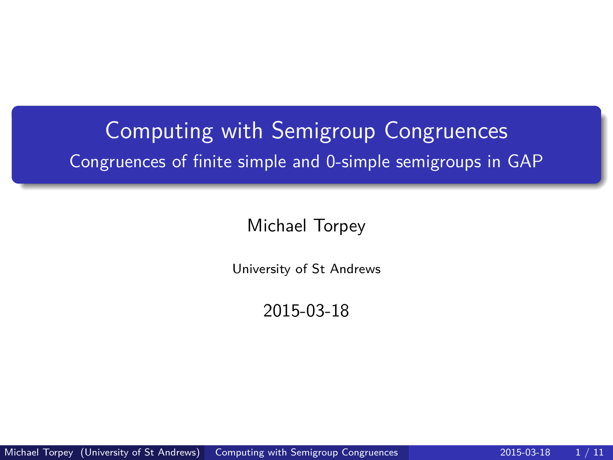# <span id="page-0-0"></span>Computing with Semigroup Congruences Congruences of finite simple and 0-simple semigroups in GAP

Michael Torpey

University of St Andrews

2015-03-18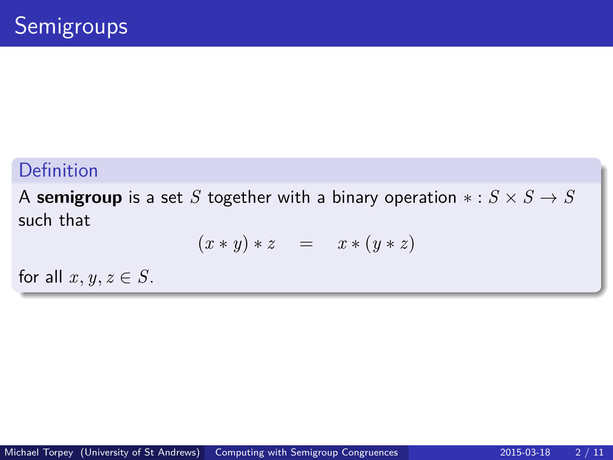A **semigroup** is a set *S* together with a binary operation  $* : S \times S \rightarrow S$ such that

$$
(x * y) * z = x * (y * z)
$$

for all  $x, y, z \in S$ .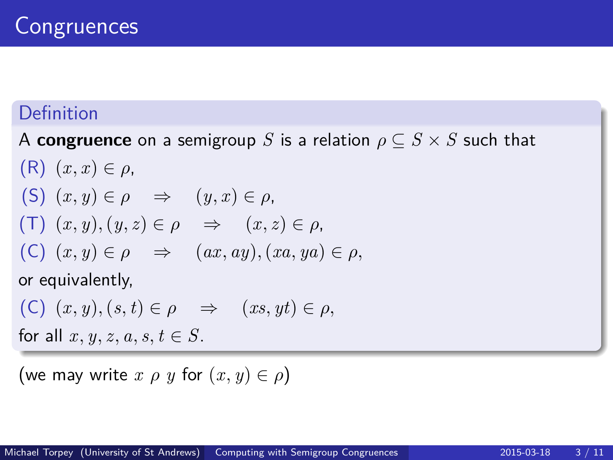A **congruence** on a semigroup *S* is a relation  $\rho \subseteq S \times S$  such that

- $(R)$   $(x, x) \in \rho$ , (S)  $(x, y) \in \rho \Rightarrow (y, x) \in \rho$ ,  $(T)$   $(x, y)$ ,  $(y, z) \in \rho \Rightarrow (x, z) \in \rho$ ,  $(C)$   $(x, y) \in \rho \Rightarrow (ax, ay), (xa, ya) \in \rho$ , or equivalently,
- $(C)$   $(x, y), (s, t) \in \rho \Rightarrow (xs, yt) \in \rho$ ,

for all  $x, y, z, a, s, t \in S$ .

(we may write  $x \rho y$  for  $(x, y) \in \rho$ )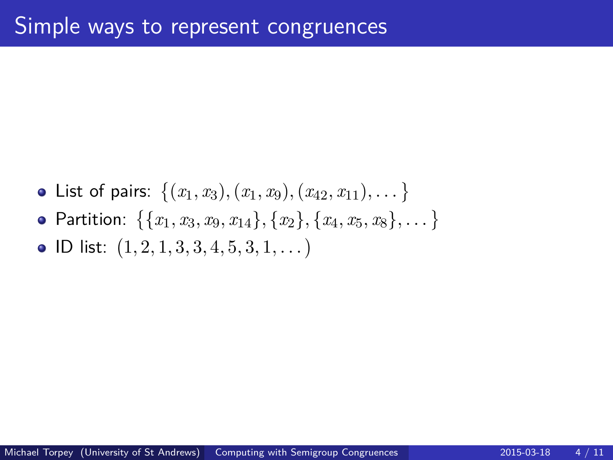List of pairs:  $\{(x_1, x_3), (x_1, x_9), (x_{42}, x_{11}), \dots\}$  ${\sf Partition:} \ \ \{\{x_1, x_3, x_9, x_{14}\}, \{x_2\}, \{x_4, x_5, x_8\}, \dots\}$ ID list: 1*,* 2*,* 1*,* 3*,* 3*,* 4*,* 5*,* 3*,* 1*, . . .*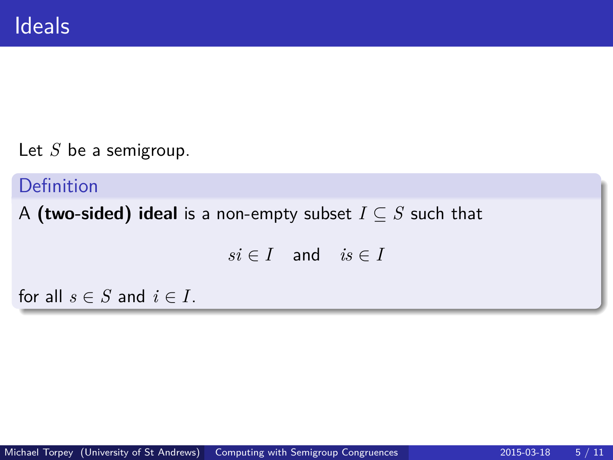Let *S* be a semigroup.

Definition

A **(two-sided) ideal** is a non-empty subset  $I \subseteq S$  such that

 $si \in I$  and  $is \in I$ 

for all  $s \in S$  and  $i \in I$ .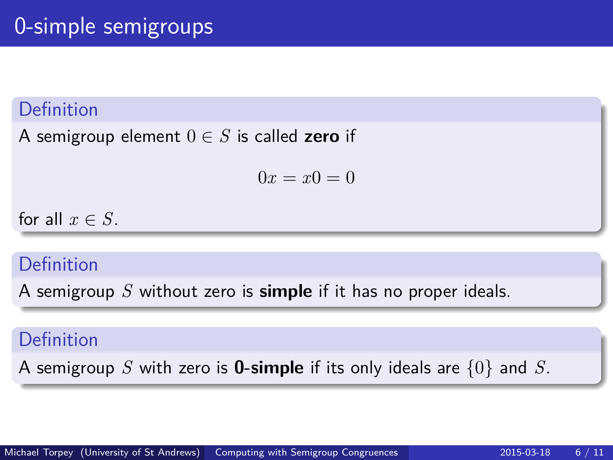A semigroup element  $0 \in S$  is called **zero** if

 $0x = x0 = 0$ 

for all  $x \in S$ .

#### Definition

A semigroup *S* without zero is **simple** if it has no proper ideals.

#### Definition

A semigroup *S* with zero is **0-simple** if its only ideals are {0} and *S*.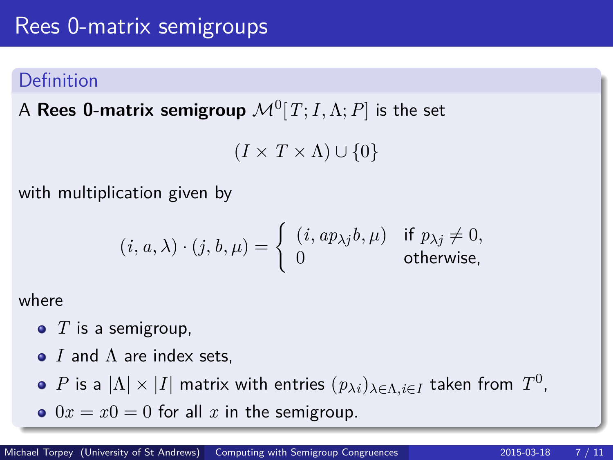$\mathsf A$   $\mathsf {Rees}\; \mathbf 0$ -matrix  $\mathsf {semigroup}\; \mathcal M^0[T;I,\Lambda;P]$  is the set

 $(I \times T \times \Lambda) \cup \{0\}$ 

with multiplication given by

$$
(i, a, \lambda) \cdot (j, b, \mu) = \begin{cases} (i, ap_{\lambda j}b, \mu) & \text{if } p_{\lambda j} \neq 0, \\ 0 & \text{otherwise,} \end{cases}
$$

where

- T is a semigroup,
- *I* and Λ are index sets,
- $P$  is a  $|\Lambda| \times |I|$  matrix with entries  $(p_{\lambda i})_{\lambda \in \Lambda, i \in I}$  taken from  $T^0$ ,
- $0x = x0 = 0$  for all x in the semigroup.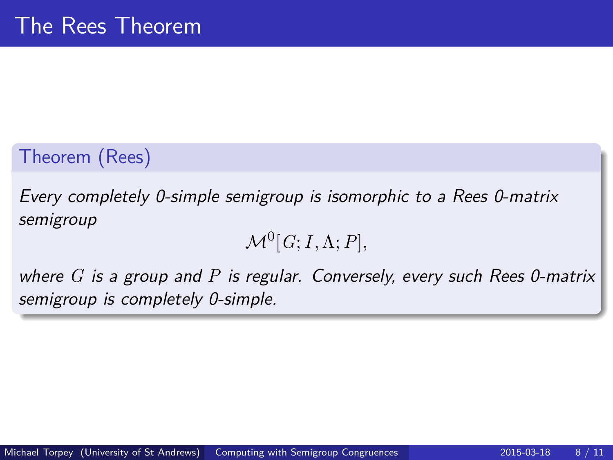## Theorem (Rees)

Every completely 0-simple semigroup is isomorphic to a Rees 0-matrix semigroup

$$
\mathcal{M}^0[G; I, \Lambda; P],
$$

where *G* is a group and *P* is regular. Conversely, every such Rees 0-matrix semigroup is completely 0-simple.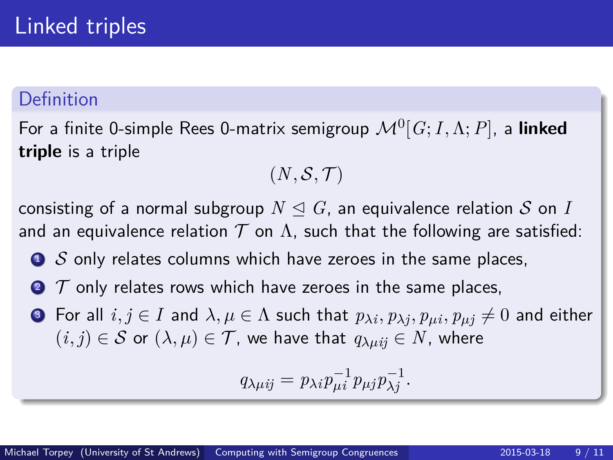For a finite 0-simple Rees 0-matrix semigroup M<sup>0</sup> [*G*;*I,*Λ;*P*], a **linked triple** is a triple

$$
(N,\mathcal{S},\mathcal{T})
$$

consisting of a normal subgroup  $N \triangleleft G$ , an equivalence relation S on I and an equivalence relation  $T$  on  $\Lambda$ , such that the following are satisfied:

- $\bullet$  S only relates columns which have zeroes in the same places,
- $\bullet$   $\tau$  only relates rows which have zeroes in the same places,
- ${\bf 3}$  For all  $i,j\in I$  and  $\lambda,\mu\in\Lambda$  such that  $p_{\lambda i},p_{\lambda j},p_{\mu i},p_{\mu j}\neq 0$  and either  $(i, j) \in S$  or  $(\lambda, \mu) \in T$ , we have that  $q_{\lambda \mu i j} \in N$ , where

$$
q_{\lambda\mu ij} = p_{\lambda i} p_{\mu i}^{-1} p_{\mu j} p_{\lambda j}^{-1}.
$$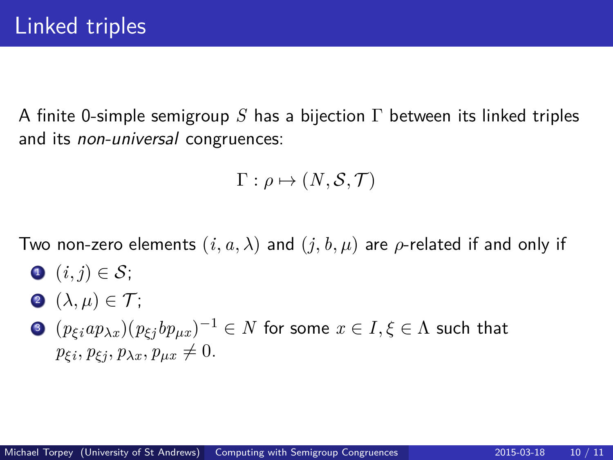A finite 0-simple semigroup *S* has a bijection Γ between its linked triples and its non-universal congruences:

$$
\Gamma: \rho \mapsto (N, \mathcal{S}, \mathcal{T})
$$

Two non-zero elements  $(i, a, \lambda)$  and  $(j, b, \mu)$  are  $\rho$ -related if and only if

- $\bigcirc$   $(i, j) \in \mathcal{S}$ ;
- **2**  $(\lambda, \mu) \in \mathcal{T}$ ;
- $\textbf{3}$   $(p_{\xi i}ap_{\lambda x})(p_{\xi j}bp_{\mu x})^{-1}\in N$  for some  $x\in I, \xi\in \Lambda$  such that  $p_{\xi i}, p_{\xi j}, p_{\lambda x}, p_{\mu x} \neq 0.$